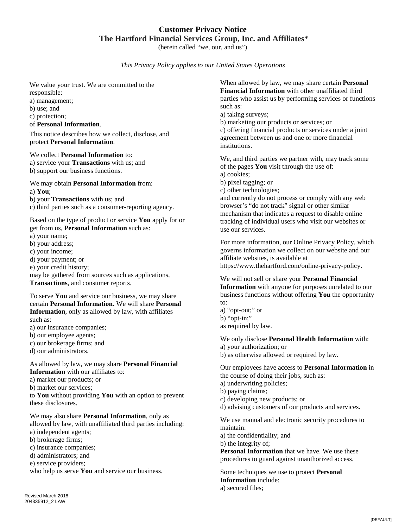## **Customer Privacy Notice The Hartford Financial Services Group, Inc. and Affiliates**\*

(herein called "we, our, and us")

*This Privacy Policy applies to our United States Operations*

We value your trust. We are committed to the responsible:

a) management;

b) use; and

c) protection;

of **Personal Information**.

This notice describes how we collect, disclose, and protect **Personal Information**.

We collect **Personal Information** to: a) service your **Transactions** with us; and b) support our business functions.

We may obtain **Personal Information** from: a) **You**;

b) your **Transactions** with us; and

c) third parties such as a consumer-reporting agency.

Based on the type of product or service **You** apply for or get from us, **Personal Information** such as:

a) your name;

b) your address;

c) your income;

d) your payment; or

e) your credit history;

may be gathered from sources such as applications, **Transactions**, and consumer reports.

To serve **You** and service our business, we may share certain **Personal Information.** We will share **Personal Information**, only as allowed by law, with affiliates such as:

a) our insurance companies;

b) our employee agents;

c) our brokerage firms; and

d) our administrators.

As allowed by law, we may share **Personal Financial Information** with our affiliates to:

a) market our products; or

b) market our services;

to **You** without providing **You** with an option to prevent these disclosures.

We may also share **Personal Information**, only as allowed by law, with unaffiliated third parties including:

a) independent agents;

b) brokerage firms;

c) insurance companies;

d) administrators; and

e) service providers;

who help us serve **You** and service our business.

Revised March 2018 204335912\_2 LAW

When allowed by law, we may share certain **Personal Financial Information** with other unaffiliated third parties who assist us by performing services or functions such as:

a) taking surveys;

b) marketing our products or services; or

c) offering financial products or services under a joint agreement between us and one or more financial institutions.

We, and third parties we partner with, may track some of the pages **You** visit through the use of: a) cookies; b) pixel tagging; or c) other technologies;

and currently do not process or comply with any web browser's "do not track" signal or other similar mechanism that indicates a request to disable online tracking of individual users who visit our websites or use our services.

For more information, our Online Privacy Policy, which governs information we collect on our website and our affiliate websites, is available at

https://www.thehartford.com/online-privacy-policy.

We will not sell or share your **Personal Financial Information** with anyone for purposes unrelated to our business functions without offering **You** the opportunity to:

a) "opt-out;" or b) "opt-in;" as required by law.

We only disclose **Personal Health Information** with:

a) your authorization; or

b) as otherwise allowed or required by law.

Our employees have access to **Personal Information** in the course of doing their jobs, such as:

a) underwriting policies;

b) paying claims;

c) developing new products; or

d) advising customers of our products and services.

We use manual and electronic security procedures to maintain:

a) the confidentiality; and

b) the integrity of;

**Personal Information** that we have. We use these procedures to guard against unauthorized access.

Some techniques we use to protect **Personal Information** include: a) secured files;